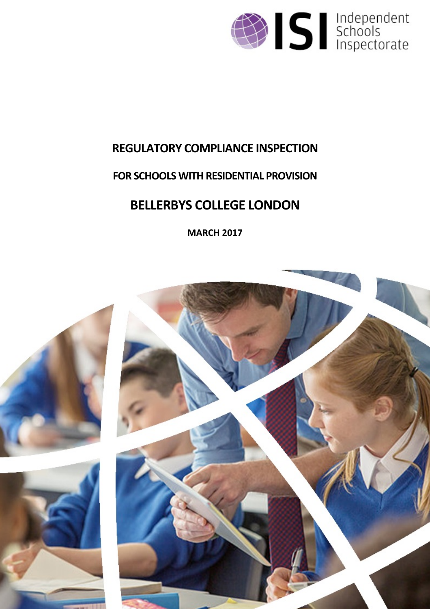

# **REGULATORY COMPLIANCE INSPECTION**

# **FOR SCHOOLS WITH RESIDENTIAL PROVISION**

# **BELLERBYS COLLEGE LONDON**

**MARCH 2017**

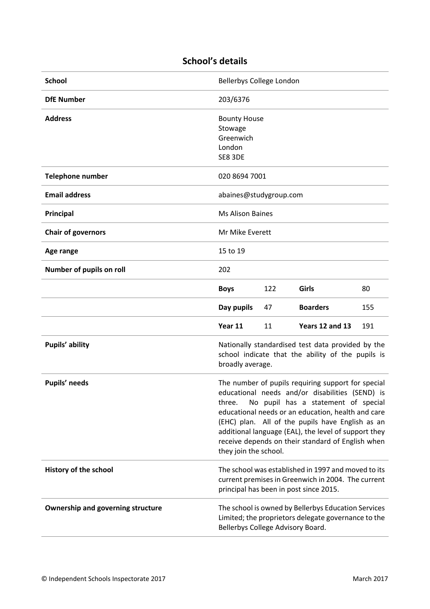| <b>School</b>                            | Bellerbys College London                                                                                                                                                                                                                                                                                                                                                                               |     |                 |     |
|------------------------------------------|--------------------------------------------------------------------------------------------------------------------------------------------------------------------------------------------------------------------------------------------------------------------------------------------------------------------------------------------------------------------------------------------------------|-----|-----------------|-----|
| <b>DfE Number</b>                        | 203/6376                                                                                                                                                                                                                                                                                                                                                                                               |     |                 |     |
| <b>Address</b>                           | <b>Bounty House</b><br>Stowage<br>Greenwich<br>London<br>SE8 3DE                                                                                                                                                                                                                                                                                                                                       |     |                 |     |
| <b>Telephone number</b>                  | 020 8694 7001                                                                                                                                                                                                                                                                                                                                                                                          |     |                 |     |
| <b>Email address</b>                     | abaines@studygroup.com                                                                                                                                                                                                                                                                                                                                                                                 |     |                 |     |
| Principal                                | <b>Ms Alison Baines</b>                                                                                                                                                                                                                                                                                                                                                                                |     |                 |     |
| <b>Chair of governors</b>                | Mr Mike Everett                                                                                                                                                                                                                                                                                                                                                                                        |     |                 |     |
| Age range                                | 15 to 19                                                                                                                                                                                                                                                                                                                                                                                               |     |                 |     |
| Number of pupils on roll                 | 202                                                                                                                                                                                                                                                                                                                                                                                                    |     |                 |     |
|                                          | <b>Boys</b>                                                                                                                                                                                                                                                                                                                                                                                            | 122 | Girls           | 80  |
|                                          | Day pupils                                                                                                                                                                                                                                                                                                                                                                                             | 47  | <b>Boarders</b> | 155 |
|                                          | Year 11                                                                                                                                                                                                                                                                                                                                                                                                | 11  | Years 12 and 13 | 191 |
| Pupils' ability                          | Nationally standardised test data provided by the<br>school indicate that the ability of the pupils is<br>broadly average.                                                                                                                                                                                                                                                                             |     |                 |     |
| Pupils' needs                            | The number of pupils requiring support for special<br>educational needs and/or disabilities (SEND) is<br>No pupil has a statement of special<br>three.<br>educational needs or an education, health and care<br>(EHC) plan. All of the pupils have English as an<br>additional language (EAL), the level of support they<br>receive depends on their standard of English when<br>they join the school. |     |                 |     |
| History of the school                    | The school was established in 1997 and moved to its<br>current premises in Greenwich in 2004. The current<br>principal has been in post since 2015.                                                                                                                                                                                                                                                    |     |                 |     |
| <b>Ownership and governing structure</b> | The school is owned by Bellerbys Education Services<br>Limited; the proprietors delegate governance to the<br>Bellerbys College Advisory Board.                                                                                                                                                                                                                                                        |     |                 |     |

# **School's details**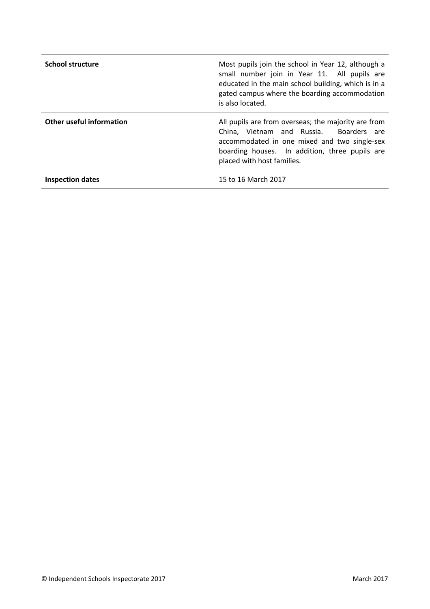| <b>School structure</b>  | Most pupils join the school in Year 12, although a<br>small number join in Year 11. All pupils are<br>educated in the main school building, which is in a<br>gated campus where the boarding accommodation<br>is also located.    |
|--------------------------|-----------------------------------------------------------------------------------------------------------------------------------------------------------------------------------------------------------------------------------|
| Other useful information | All pupils are from overseas; the majority are from<br>China, Vietnam and Russia.<br>Boarders are<br>accommodated in one mixed and two single-sex<br>boarding houses. In addition, three pupils are<br>placed with host families. |
| <b>Inspection dates</b>  | 15 to 16 March 2017                                                                                                                                                                                                               |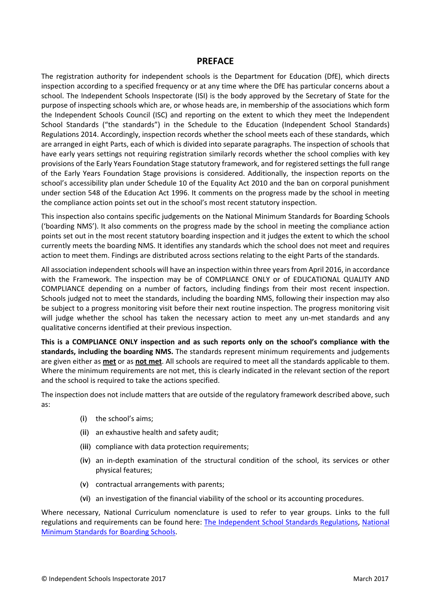#### **PREFACE**

The registration authority for independent schools is the Department for Education (DfE), which directs inspection according to a specified frequency or at any time where the DfE has particular concerns about a school. The Independent Schools Inspectorate (ISI) is the body approved by the Secretary of State for the purpose of inspecting schools which are, or whose heads are, in membership of the associations which form the Independent Schools Council (ISC) and reporting on the extent to which they meet the Independent School Standards ("the standards") in the Schedule to the Education (Independent School Standards) Regulations 2014. Accordingly, inspection records whether the school meets each of these standards, which are arranged in eight Parts, each of which is divided into separate paragraphs. The inspection of schools that have early years settings not requiring registration similarly records whether the school complies with key provisions of the Early Years Foundation Stage statutory framework, and for registered settings the full range of the Early Years Foundation Stage provisions is considered. Additionally, the inspection reports on the school's accessibility plan under Schedule 10 of the Equality Act 2010 and the ban on corporal punishment under section 548 of the Education Act 1996. It comments on the progress made by the school in meeting the compliance action points set out in the school's most recent statutory inspection.

This inspection also contains specific judgements on the National Minimum Standards for Boarding Schools ('boarding NMS'). It also comments on the progress made by the school in meeting the compliance action points set out in the most recent statutory boarding inspection and it judges the extent to which the school currently meets the boarding NMS. It identifies any standards which the school does not meet and requires action to meet them. Findings are distributed across sections relating to the eight Parts of the standards.

All association independent schools will have an inspection within three yearsfrom April 2016, in accordance with the Framework. The inspection may be of COMPLIANCE ONLY or of EDUCATIONAL QUALITY AND COMPLIANCE depending on a number of factors, including findings from their most recent inspection. Schools judged not to meet the standards, including the boarding NMS, following their inspection may also be subject to a progress monitoring visit before their next routine inspection. The progress monitoring visit will judge whether the school has taken the necessary action to meet any un-met standards and any qualitative concerns identified at their previous inspection.

**This is a COMPLIANCE ONLY inspection and as such reports only on the school's compliance with the standards, including the boarding NMS.** The standards represent minimum requirements and judgements are given either as **met** or as **not met**. All schools are required to meet all the standards applicable to them. Where the minimum requirements are not met, this is clearly indicated in the relevant section of the report and the school is required to take the actions specified.

The inspection does not include matters that are outside of the regulatory framework described above, such as:

- (i) the school's aims;
- (ii) an exhaustive health and safety audit;
- (iii) compliance with data protection requirements;
- (iv) an in-depth examination of the structural condition of the school, its services or other physical features;
- (v) contractual arrangements with parents;
- (vi) an investigation of the financial viability of the school or its accounting procedures.

Where necessary, National Curriculum nomenclature is used to refer to year groups. Links to the full regulations and requirements can be found here: The [Independent](http://www.legislation.gov.uk/uksi/2014/3283/contents/made) School Standards Regulations, [National](https://www.gov.uk/government/uploads/system/uploads/attachment_data/file/416186/20150319_nms_bs_standards.pdf) Minimum [Standards](https://www.gov.uk/government/uploads/system/uploads/attachment_data/file/416186/20150319_nms_bs_standards.pdf) for Boarding Schools.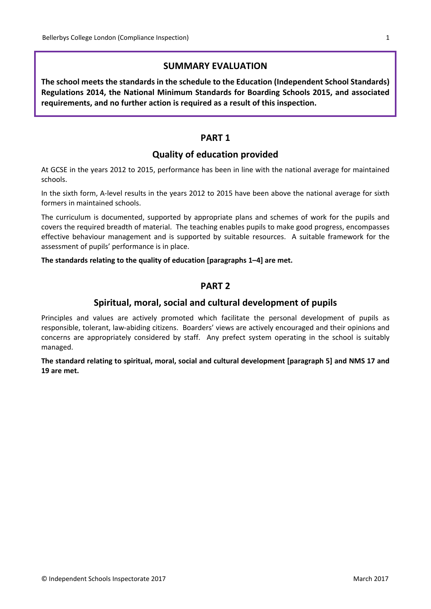# **SUMMARY EVALUATION**

**The school meets the standards in the schedule to the Education (Independent School Standards) Regulations 2014, the National Minimum Standards for Boarding Schools 2015, and associated requirements, and no further action is required as a result of this inspection.**

# **PART 1**

# **Quality of education provided**

At GCSE in the years 2012 to 2015, performance has been in line with the national average for maintained schools.

In the sixth form, A-level results in the years 2012 to 2015 have been above the national average for sixth formers in maintained schools.

The curriculum is documented, supported by appropriate plans and schemes of work for the pupils and covers the required breadth of material. The teaching enables pupils to make good progress, encompasses effective behaviour management and is supported by suitable resources. A suitable framework for the assessment of pupils' performance is in place.

#### **The standards relating to the quality of education [paragraphs 1–4] are met.**

# **PART 2**

# **Spiritual, moral, social and cultural development of pupils**

Principles and values are actively promoted which facilitate the personal development of pupils as responsible, tolerant, law-abiding citizens. Boarders' views are actively encouraged and their opinions and concerns are appropriately considered by staff. Any prefect system operating in the school is suitably managed.

**The standard relating to spiritual, moral, social and cultural development [paragraph 5] and NMS 17 and 19 are met.**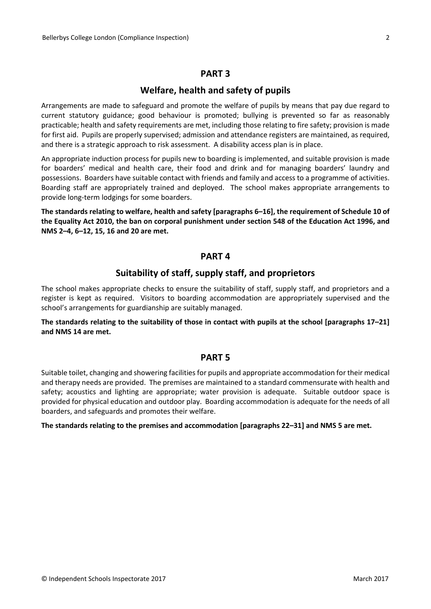#### **PART 3**

#### **Welfare, health and safety of pupils**

Arrangements are made to safeguard and promote the welfare of pupils by means that pay due regard to current statutory guidance; good behaviour is promoted; bullying is prevented so far as reasonably practicable; health and safety requirements are met, including those relating to fire safety; provision is made for first aid. Pupils are properly supervised; admission and attendance registers are maintained, as required, and there is a strategic approach to risk assessment. A disability access plan is in place.

An appropriate induction process for pupils new to boarding is implemented, and suitable provision is made for boarders' medical and health care, their food and drink and for managing boarders' laundry and possessions. Boarders have suitable contact with friends and family and access to a programme of activities. Boarding staff are appropriately trained and deployed. The school makes appropriate arrangements to provide long-term lodgings for some boarders.

**The standards relating to welfare, health and safety [paragraphs 6–16], the requirement of Schedule 10 of** the Equality Act 2010, the ban on corporal punishment under section 548 of the Education Act 1996, and **NMS 2–4, 6–12, 15, 16 and 20 are met.**

#### **PART 4**

## **Suitability of staff, supply staff, and proprietors**

The school makes appropriate checks to ensure the suitability of staff, supply staff, and proprietors and a register is kept as required. Visitors to boarding accommodation are appropriately supervised and the school's arrangements for guardianship are suitably managed.

The standards relating to the suitability of those in contact with pupils at the school [paragraphs 17-21] **and NMS 14 are met.**

#### **PART 5**

Suitable toilet, changing and showering facilities for pupils and appropriate accommodation for their medical and therapy needs are provided. The premises are maintained to a standard commensurate with health and safety; acoustics and lighting are appropriate; water provision is adequate. Suitable outdoor space is provided for physical education and outdoor play. Boarding accommodation is adequate for the needs of all boarders, and safeguards and promotes their welfare.

**The standards relating to the premises and accommodation [paragraphs 22–31] and NMS 5 are met.**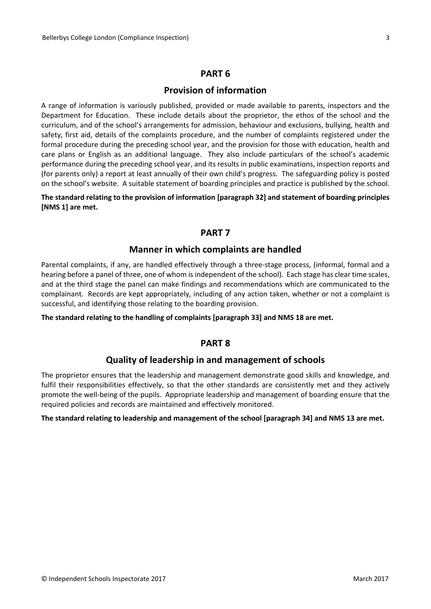#### **PART 6**

#### **Provision of information**

A range of information is variously published, provided or made available to parents, inspectors and the Department for Education. These include details about the proprietor, the ethos of the school and the curriculum, and of the school's arrangements for admission, behaviour and exclusions, bullying, health and safety, first aid, details of the complaints procedure, and the number of complaints registered under the formal procedure during the preceding school year, and the provision for those with education, health and care plans or English as an additional language. They also include particulars of the school's academic performance during the preceding school year, and its results in public examinations, inspection reports and (for parents only) a report at least annually of their own child's progress. The safeguarding policy is posted on the school's website. A suitable statement of boarding principles and practice is published by the school.

**The standard relating to the provision of information [paragraph 32] and statement of boarding principles [NMS 1] are met.**

#### **PART 7**

#### **Manner in which complaints are handled**

Parental complaints, if any, are handled effectively through a three-stage process, (informal, formal and a hearing before a panel of three, one of whom is independent of the school). Each stage has clear time scales, and at the third stage the panel can make findings and recommendations which are communicated to the complainant. Records are kept appropriately, including of any action taken, whether or not a complaint is successful, and identifying those relating to the boarding provision.

**The standard relating to the handling of complaints [paragraph 33] and NMS 18 are met.**

## **PART 8**

## **Quality of leadership in and management of schools**

The proprietor ensures that the leadership and management demonstrate good skills and knowledge, and fulfil their responsibilities effectively, so that the other standards are consistently met and they actively promote the well-being of the pupils. Appropriate leadership and management of boarding ensure that the required policies and records are maintained and effectively monitored.

#### **The standard relating to leadership and management of the school [paragraph 34] and NMS 13 are met.**